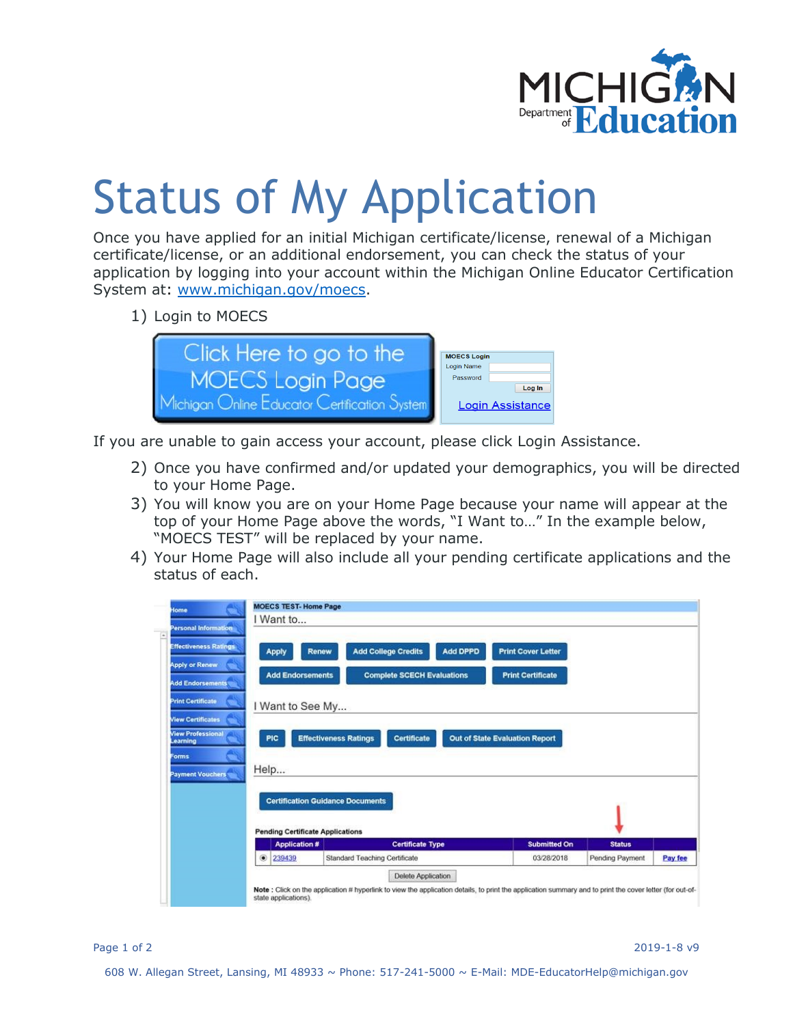

## Status of My Application

Once you have applied for an initial Michigan certificate/license, renewal of a Michigan certificate/license, or an additional endorsement, you can check the status of your application by logging into your account within the Michigan Online Educator Certification System at: [www.michigan.gov/moecs.](http://www.michigan.gov/moecs)

1) Login to MOECS



If you are unable to gain access your account, please click Login Assistance.

- 2) Once you have confirmed and/or updated your demographics, you will be directed to your Home Page.
- 3) You will know you are on your Home Page because your name will appear at the top of your Home Page above the words, "I Want to…" In the example below, "MOECS TEST" will be replaced by your name.
- 4) Your Home Page will also include all your pending certificate applications and the status of each.

| <b>Personal Information</b><br>$\overline{a}$<br><b>Effectiveness Ratings</b><br><b>Apply or Renew</b><br><b>Add Endorsements</b><br><b>Print Certificate</b><br><b>View Certificates</b><br><b>View Professional</b><br><b>Learning</b><br>Forms<br><b>Payment Vouchers</b> | <b>Apply</b><br><b>Add Endorsements</b><br>I Want to See My<br><b>PIC</b><br>Help<br><b>Pending Certificate Applications</b> | Add DPPD<br><b>Add College Credits</b><br><b>Renew</b><br><b>Complete SCECH Evaluations</b><br><b>Effectiveness Ratings</b><br>Certificate<br><b>Certification Guidance Documents</b> | <b>Print Cover Letter</b><br><b>Print Certificate</b><br>Out of State Evaluation Report |               |  |
|------------------------------------------------------------------------------------------------------------------------------------------------------------------------------------------------------------------------------------------------------------------------------|------------------------------------------------------------------------------------------------------------------------------|---------------------------------------------------------------------------------------------------------------------------------------------------------------------------------------|-----------------------------------------------------------------------------------------|---------------|--|
|                                                                                                                                                                                                                                                                              |                                                                                                                              | <b>Certificate Type</b>                                                                                                                                                               | <b>Submitted On</b>                                                                     | <b>Status</b> |  |
|                                                                                                                                                                                                                                                                              | <b>Application#</b>                                                                                                          |                                                                                                                                                                                       |                                                                                         |               |  |

Page 1 of 2 2019-1-8 v9